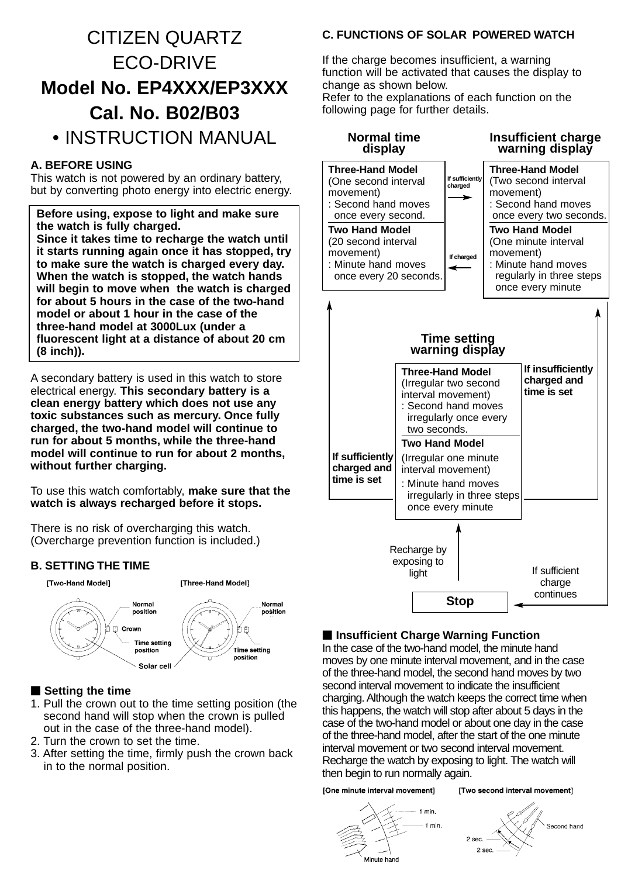## CITIZEN QUARTZ ECO-DRIVE **Model No. EP4XXX/EP3XXX Cal. No. B02/B03**

## • INSTRUCTION MANUAL

## **A. BEFORE USING**

This watch is not powered by an ordinary battery, but by converting photo energy into electric energy.

**Before using, expose to light and make sure the watch is fully charged. Since it takes time to recharge the watch until it starts running again once it has stopped, try to make sure the watch is charged every day. When the watch is stopped, the watch hands will begin to move when the watch is charged for about 5 hours in the case of the two-hand model or about 1 hour in the case of the three-hand model at 3000Lux (under a fluorescent light at a distance of about 20 cm (8 inch)).**

A secondary battery is used in this watch to store electrical energy. **This secondary battery is a clean energy battery which does not use any toxic substances such as mercury. Once fully charged, the two-hand model will continue to run for about 5 months, while the three-hand model will continue to run for about 2 months, without further charging.**

To use this watch comfortably, **make sure that the watch is always recharged before it stops.**

There is no risk of overcharging this watch. (Overcharge prevention function is included.)

## **B. SETTING THE TIME**



## ■ Setting the time

- 1. Pull the crown out to the time setting position (the second hand will stop when the crown is pulled out in the case of the three-hand model).
- 2. Turn the crown to set the time.
- 3. After setting the time, firmly push the crown back in to the normal position.

## **C. FUNCTIONS OF SOLAR POWERED WATCH**

If the charge becomes insufficient, a warning function will be activated that causes the display to change as shown below.

Refer to the explanations of each function on the following page for further details.



## $\blacksquare$  **Insufficient Charge Warning Function**

In the case of the two-hand model, the minute hand moves by one minute interval movement, and in the case of the three-hand model, the second hand moves by two second interval movement to indicate the insufficient charging. Although the watch keeps the correct time when this happens, the watch will stop after about 5 days in the case of the two-hand model or about one day in the case of the three-hand model, after the start of the one minute interval movement or two second interval movement. Recharge the watch by exposing to light. The watch will then begin to run normally again.

[One minute interval movement]

#### [Two second interval movement]



Second hand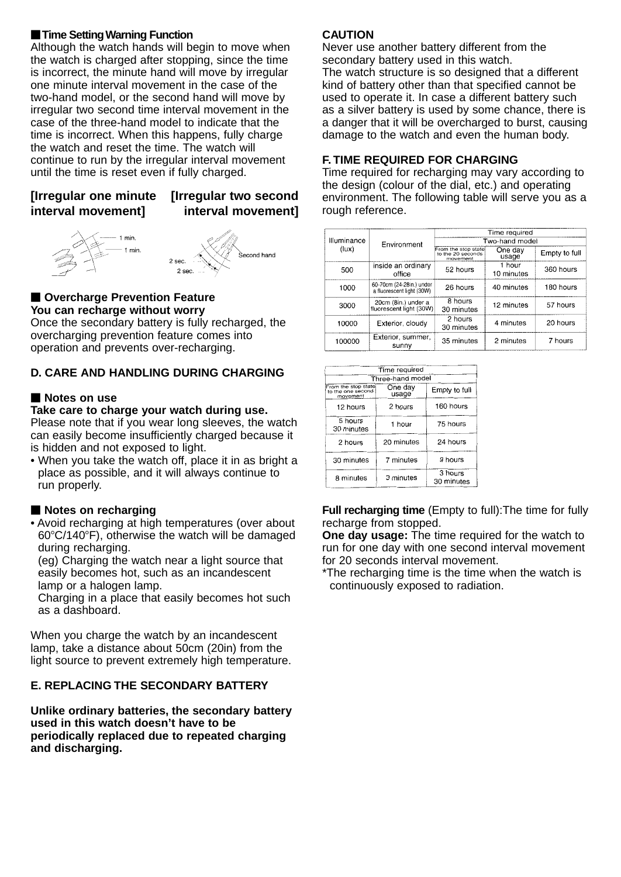## **Time Setting Warning Function**

Although the watch hands will begin to move when the watch is charged after stopping, since the time is incorrect, the minute hand will move by irregular one minute interval movement in the case of the two-hand model, or the second hand will move by irregular two second time interval movement in the case of the three-hand model to indicate that the time is incorrect. When this happens, fully charge the watch and reset the time. The watch will continue to run by the irregular interval movement until the time is reset even if fully charged.

## **[Irregular one minute [Irregular two second interval movement]**

# **interval movement]**





#### **Nancity Overcharge Prevention Feature You can recharge without worry**

Once the secondary battery is fully recharged, the overcharging prevention feature comes into operation and prevents over-recharging.

## **D. CARE AND HANDLING DURING CHARGING**

## - **Notes on use**

#### **Take care to charge your watch during use.**

Please note that if you wear long sleeves, the watch can easily become insufficiently charged because it is hidden and not exposed to light.

• When you take the watch off, place it in as bright a place as possible, and it will always continue to run properly.

#### **Notes on recharging**

• Avoid recharging at high temperatures (over about 60C/140F), otherwise the watch will be damaged during recharging.

(eg) Charging the watch near a light source that easily becomes hot, such as an incandescent lamp or a halogen lamp.

Charging in a place that easily becomes hot such as a dashboard.

When you charge the watch by an incandescent lamp, take a distance about 50cm (20in) from the light source to prevent extremely high temperature.

## **E. REPLACING THE SECONDARY BATTERY**

**Unlike ordinary batteries, the secondary battery used in this watch doesn't have to be periodically replaced due to repeated charging and discharging.**

## **CAUTION**

Never use another battery different from the secondary battery used in this watch.

The watch structure is so designed that a different kind of battery other than that specified cannot be used to operate it. In case a different battery such as a silver battery is used by some chance, there is a danger that it will be overcharged to burst, causing damage to the watch and even the human body.

## **F. TIME REQUIRED FOR CHARGING**

Time required for recharging may vary according to the design (colour of the dial, etc.) and operating environment. The following table will serve you as a rough reference.

|                      |                                                       | Time required                                        |                      |               |  |
|----------------------|-------------------------------------------------------|------------------------------------------------------|----------------------|---------------|--|
| Illuminance<br>(lux) | Environment                                           | Two-hand model                                       |                      |               |  |
|                      |                                                       | From the stop state<br>to the 20 seconds<br>movement | One day<br>usage     | Empty to full |  |
| 500                  | inside an ordinary<br>office                          | 52 hours                                             | 1 hour<br>10 minutes | 360 hours     |  |
| 1000                 | 60-70cm (24-28in.) under<br>a fluorescent light (30W) | 26 hours                                             | 40 minutes           | 180 hours     |  |
| 3000                 | 20cm (8in.) under a<br>fluorescent light (30W)        | 8 hours<br>30 minutes                                | 12 minutes           | 57 hours      |  |
| 10000                | Exterior, cloudy                                      | 2 hours<br>30 minutes                                | 4 minutes            | 20 hours      |  |
| 100000               | Exterior, summer,<br>sunnv                            | 35 minutes                                           | 2 minutes            | 7 hours       |  |

| Time required                                        |                  |                       |  |  |  |
|------------------------------------------------------|------------------|-----------------------|--|--|--|
| Three-hand model                                     |                  |                       |  |  |  |
| From the stop state<br>to the one second<br>movement | One day<br>usage | Empty to full         |  |  |  |
| 12 hours                                             | 2 hours          | 160 hours             |  |  |  |
| 5 hours<br>30 minutes                                | 1 hour           | 75 hours              |  |  |  |
| 2 hours                                              | 20 minutes       | 24 hours              |  |  |  |
| 30 minutes                                           | 7 minutes        | 9 hours               |  |  |  |
| 8 minutes                                            | 3 minutes        | 3 hours<br>30 minutes |  |  |  |

**Full recharging time** (Empty to full):The time for fully recharge from stopped.

**One day usage:** The time required for the watch to run for one day with one second interval movement for 20 seconds interval movement.

\*The recharging time is the time when the watch is continuously exposed to radiation.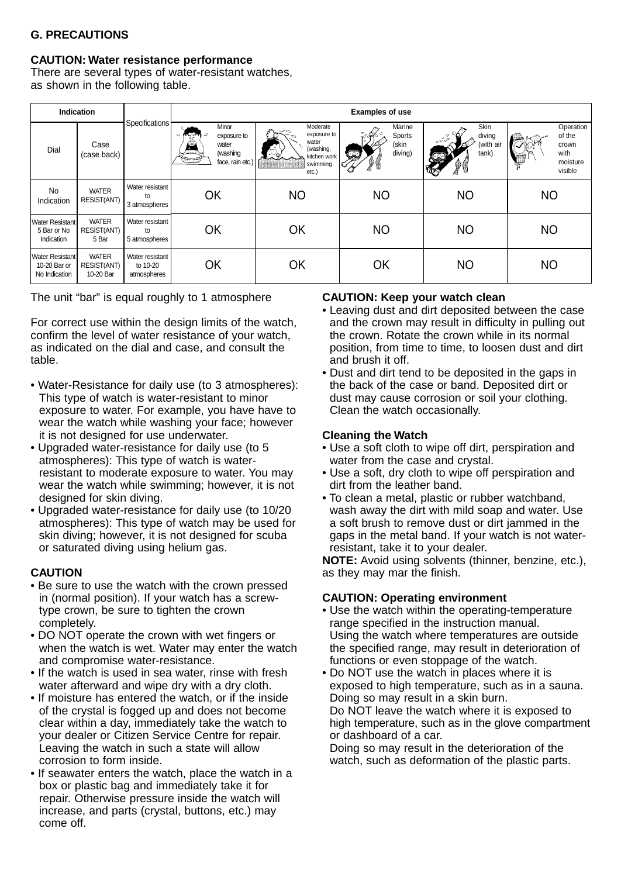## **G. PRECAUTIONS**

#### **CAUTION: Water resistance performance**

There are several types of water-resistant watches, as shown in the following table.

| Indication                                          |                                          |                                            | <b>Examples of use</b>                                                        |                                                                                    |                                              |                                                                                                                             |                                                             |
|-----------------------------------------------------|------------------------------------------|--------------------------------------------|-------------------------------------------------------------------------------|------------------------------------------------------------------------------------|----------------------------------------------|-----------------------------------------------------------------------------------------------------------------------------|-------------------------------------------------------------|
| Dial                                                | Case<br>(case back)                      | Specifications                             | Minor<br>$c_{\Delta}$<br>exposure to<br>water<br>(washing<br>face, rain etc.) | Moderate<br>exposure to<br>water<br>(washing,<br>kitchen work<br>swimming<br>etc.) | Marine<br>Sports<br>(skin<br>diving)<br>ନ୍ତୁ | Skin<br>diving<br>$\begin{smallmatrix}&&&\circ\\ &\circ&\circ\\ &&&\circ\\ &&&\circ\end{smallmatrix}$<br>(with air<br>tank) | Operation<br>of the<br>crown<br>with<br>moisture<br>visible |
| <b>No</b><br>Indication                             | <b>WATER</b><br>RESIST(ANT)              | Water resistant<br>to<br>3 atmospheres     | OK                                                                            | <b>NO</b>                                                                          | <b>NO</b>                                    | <b>NO</b>                                                                                                                   | <b>NO</b>                                                   |
| <b>Water Resistant</b><br>5 Bar or No<br>Indication | <b>WATER</b><br>RESIST(ANT)<br>5 Bar     | Water resistant<br>to<br>5 atmospheres     | OK                                                                            | OK                                                                                 | <b>NO</b>                                    | <b>NO</b>                                                                                                                   | <b>NO</b>                                                   |
| Water Resistant<br>10-20 Bar or<br>No Indication    | <b>WATER</b><br>RESIST(ANT)<br>10-20 Bar | Water resistant<br>to 10-20<br>atmospheres | OK                                                                            | OK                                                                                 | OK                                           | <b>NO</b>                                                                                                                   | <b>NO</b>                                                   |

The unit "bar" is equal roughly to 1 atmosphere

For correct use within the design limits of the watch, confirm the level of water resistance of your watch, as indicated on the dial and case, and consult the table.

- Water-Resistance for daily use (to 3 atmospheres): This type of watch is water-resistant to minor exposure to water. For example, you have have to wear the watch while washing your face; however it is not designed for use underwater.
- Upgraded water-resistance for daily use (to 5 atmospheres): This type of watch is waterresistant to moderate exposure to water. You may wear the watch while swimming; however, it is not designed for skin diving.
- Upgraded water-resistance for daily use (to 10/20 atmospheres): This type of watch may be used for skin diving; however, it is not designed for scuba or saturated diving using helium gas.

#### **CAUTION**

- Be sure to use the watch with the crown pressed in (normal position). If your watch has a screwtype crown, be sure to tighten the crown completely.
- DO NOT operate the crown with wet fingers or when the watch is wet. Water may enter the watch and compromise water-resistance.
- If the watch is used in sea water, rinse with fresh water afterward and wipe dry with a dry cloth.
- If moisture has entered the watch, or if the inside of the crystal is fogged up and does not become clear within a day, immediately take the watch to your dealer or Citizen Service Centre for repair. Leaving the watch in such a state will allow corrosion to form inside.
- If seawater enters the watch, place the watch in a box or plastic bag and immediately take it for repair. Otherwise pressure inside the watch will increase, and parts (crystal, buttons, etc.) may come off.

#### **CAUTION: Keep your watch clean**

- Leaving dust and dirt deposited between the case and the crown may result in difficulty in pulling out the crown. Rotate the crown while in its normal position, from time to time, to loosen dust and dirt and brush it off.
- Dust and dirt tend to be deposited in the gaps in the back of the case or band. Deposited dirt or dust may cause corrosion or soil your clothing. Clean the watch occasionally.

## **Cleaning the Watch**

- Use a soft cloth to wipe off dirt, perspiration and water from the case and crystal.
- Use a soft, dry cloth to wipe off perspiration and dirt from the leather band.
- To clean a metal, plastic or rubber watchband, wash away the dirt with mild soap and water. Use a soft brush to remove dust or dirt jammed in the gaps in the metal band. If your watch is not waterresistant, take it to your dealer.

**NOTE:** Avoid using solvents (thinner, benzine, etc.), as they may mar the finish.

#### **CAUTION: Operating environment**

- Use the watch within the operating-temperature range specified in the instruction manual. Using the watch where temperatures are outside the specified range, may result in deterioration of functions or even stoppage of the watch.
- Do NOT use the watch in places where it is exposed to high temperature, such as in a sauna. Doing so may result in a skin burn. Do NOT leave the watch where it is exposed to high temperature, such as in the glove compartment or dashboard of a car. Doing so may result in the deterioration of the

watch, such as deformation of the plastic parts.